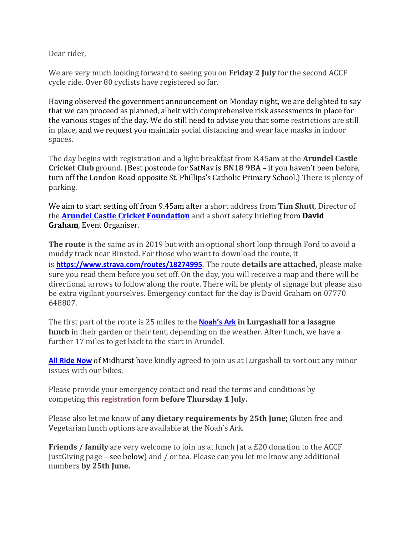Dear rider,

We are very much looking forward to seeing you on **Friday 2 July** for the second ACCF cycle ride. Over 80 cyclists have registered so far.

Having observed the government announcement on Monday night, we are delighted to say that we can proceed as planned, albeit with comprehensive risk assessments in place for the various stages of the day. We do still need to advise you that some restrictions are still in place, and we request you maintain social distancing and wear face masks in indoor spaces.

The day begins with registration and a light breakfast from 8.45am at the **Arundel Castle Cricket Club** ground. (Best postcode for SatNav is **BN18 9BA** – if you haven't been before, turn off the London Road opposite St. Phillips's Catholic Primary School.) There is plenty of parking.

We aim to start setting off from 9.45am after a short address from **Tim Shutt**, Director of the **Arundel Castle Cricket [Foundation](https://www.arundelcastlecricketfoundation.co.uk/)** and a short safety briefing from **David Graham**, Event Organiser.

**The route** is the same as in 2019 but with an optional short loop through Ford to avoid a muddy track near Binsted. For those who want to download the route, it is **<https://www.strava.com/routes/18274995>**. The route **details are attached,** please make sure you read them before you set off. On the day, you will receive a map and there will be directional arrows to follow along the route. There will be plenty of signage but please also be extra vigilant yourselves. Emergency contact for the day is David Graham on 07770 648807.

The first part of the route is 25 miles to the **[Noah's](https://www.noahsarkinn.co.uk/) Ark in Lurgashall for a lasagne lunch** in their garden or their tent, depending on the weather. After lunch, we have a further 17 miles to get back to the start in Arundel.

**All Ride [Now](https://www.allridenow.co.uk/)** of Midhurst have kindly agreed to join us at Lurgashall to sort out any minor issues with our bikes.

Please provide your emergency contact and read the terms and conditions by competing **this [registration](https://forms.gle/vMkpkfs7cQcmpi1o6) form before Thursday 1 July.**

Please also let me know of **any dietary requirements by 25th June;** Gluten free and Vegetarian lunch options are available at the Noah's Ark.

**Friends / family** are very welcome to join us at lunch (at a £20 donation to the ACCF JustGiving page – see below) and / or tea. Please can you let me know any additional numbers **by 25th June.**